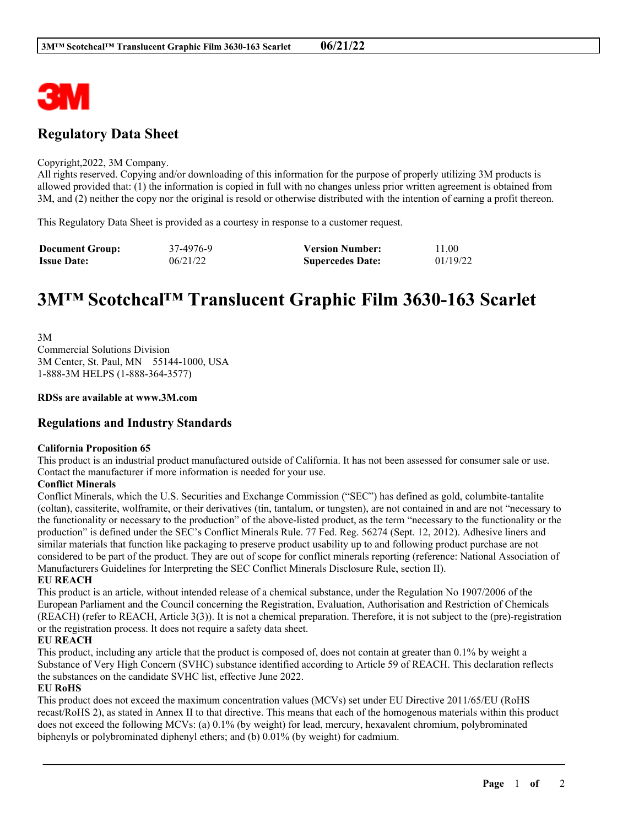

# **Regulatory Data Sheet**

#### Copyright,2022, 3M Company.

All rights reserved. Copying and/or downloading of this information for the purpose of properly utilizing 3M products is allowed provided that: (1) the information is copied in full with no changes unless prior written agreement is obtained from 3M, and (2) neither the copy nor the original is resold or otherwise distributed with the intention of earning a profit thereon.

This Regulatory Data Sheet is provided as a courtesy in response to a customer request.

| <b>Document Group:</b> | 37-4976-9 | <b>Version Number:</b>  | 11.00    |
|------------------------|-----------|-------------------------|----------|
| <b>Issue Date:</b>     | 06/21/22  | <b>Supercedes Date:</b> | 01/19/22 |

# **3M™ Scotchcal™ Translucent Graphic Film 3630-163 Scarlet**

3M Commercial Solutions Division 3M Center, St. Paul, MN 55144-1000, USA 1-888-3M HELPS (1-888-364-3577)

#### **RDSs are available at www.3M.com**

# **Regulations and Industry Standards**

#### **California Proposition 65**

This product is an industrial product manufactured outside of California. It has not been assessed for consumer sale or use. Contact the manufacturer if more information is needed for your use.

#### **Conflict Minerals**

Conflict Minerals, which the U.S. Securities and Exchange Commission ("SEC") has defined as gold, columbite-tantalite (coltan), cassiterite, wolframite, or their derivatives (tin, tantalum, or tungsten), are not contained in and are not "necessary to the functionality or necessary to the production" of the above-listed product, as the term "necessary to the functionality or the production" is defined under the SEC's Conflict Minerals Rule. 77 Fed. Reg. 56274 (Sept. 12, 2012). Adhesive liners and similar materials that function like packaging to preserve product usability up to and following product purchase are not considered to be part of the product. They are out of scope for conflict minerals reporting (reference: National Association of Manufacturers Guidelines for Interpreting the SEC Conflict Minerals Disclosure Rule, section II).

## **EU REACH**

This product is an article, without intended release of a chemical substance, under the Regulation No 1907/2006 of the European Parliament and the Council concerning the Registration, Evaluation, Authorisation and Restriction of Chemicals (REACH) (refer to REACH, Article 3(3)). It is not a chemical preparation. Therefore, it is not subject to the (pre)-registration or the registration process. It does not require a safety data sheet.

#### **EU REACH**

This product, including any article that the product is composed of, does not contain at greater than 0.1% by weight a Substance of Very High Concern (SVHC) substance identified according to Article 59 of REACH. This declaration reflects the substances on the candidate SVHC list, effective June 2022.

### **EU RoHS**

This product does not exceed the maximum concentration values (MCVs) set under EU Directive 2011/65/EU (RoHS recast/RoHS 2), as stated in Annex II to that directive. This means that each of the homogenous materials within this product does not exceed the following MCVs: (a) 0.1% (by weight) for lead, mercury, hexavalent chromium, polybrominated biphenyls or polybrominated diphenyl ethers; and (b) 0.01% (by weight) for cadmium.

\_\_\_\_\_\_\_\_\_\_\_\_\_\_\_\_\_\_\_\_\_\_\_\_\_\_\_\_\_\_\_\_\_\_\_\_\_\_\_\_\_\_\_\_\_\_\_\_\_\_\_\_\_\_\_\_\_\_\_\_\_\_\_\_\_\_\_\_\_\_\_\_\_\_\_\_\_\_\_\_\_\_\_\_\_\_\_\_\_\_